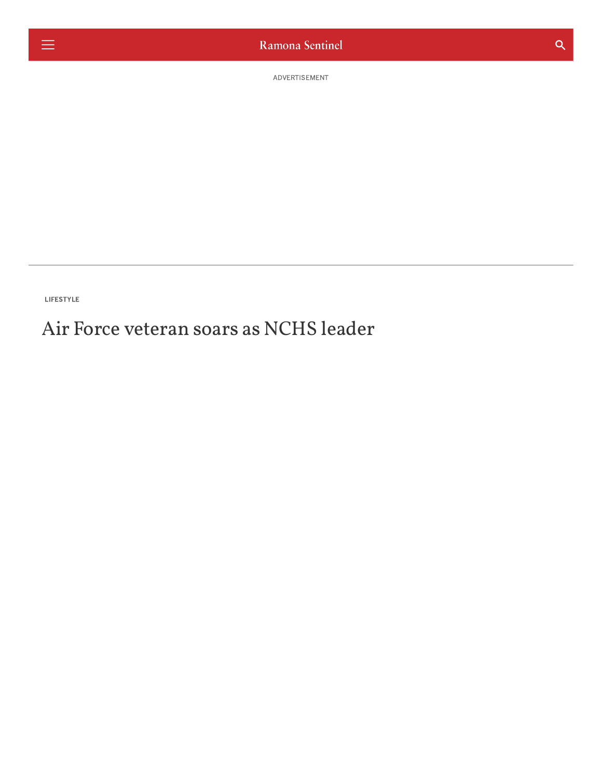ADVERTISEMENT

LIFESTYLE

# Air Force veteran soars as NCHS leader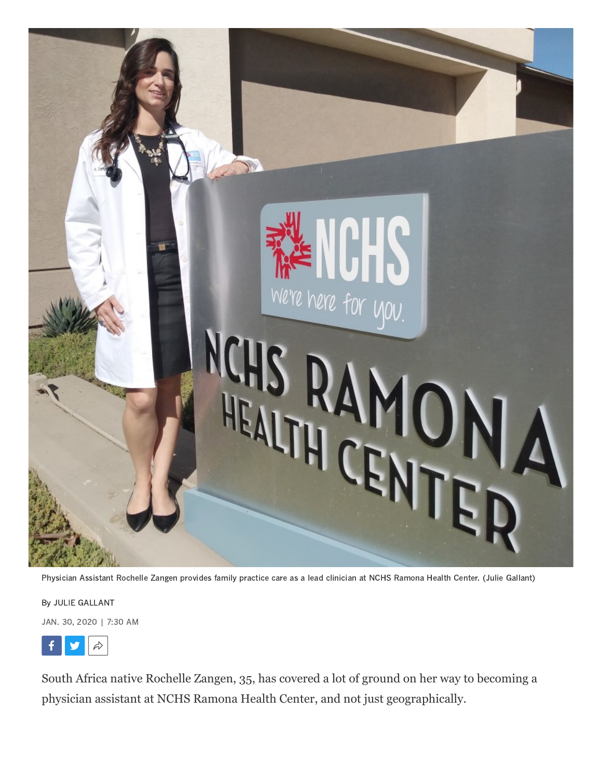

Physician Assistant Rochelle Zangen provides family practice care as a lead clinician at NCHS Ramona Health Center. (Julie Gallant)

By JULIE [GALLANT](https://www.sandiegouniontribune.com/ramona-sentinel/people/julie-gallant) JAN. 30, 2020 | 7:30 AM



South Africa native Rochelle Zangen, 35, has covered a lot of ground on her way to becoming a physician assistant at NCHS Ramona Health Center, and not just geographically.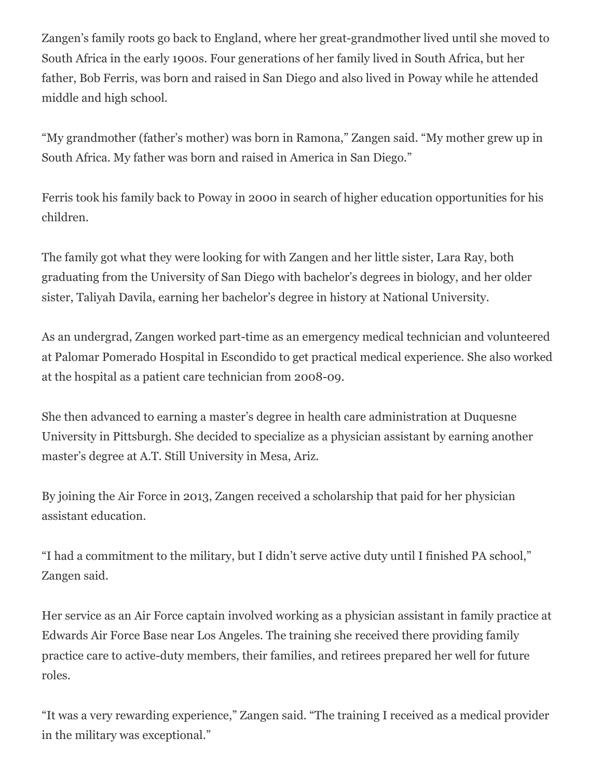Zangen's family roots go back to England, where her great-grandmother lived until she moved to South Africa in the early 1900s. Four generations of her family lived in South Africa, but her father, Bob Ferris, was born and raised in San Diego and also lived in Poway while he attended middle and high school.

"My grandmother (father's mother) was born in Ramona," Zangen said. "My mother grew up in South Africa. My father was born and raised in America in San Diego."

Ferris took his family back to Poway in 2000 in search of higher education opportunities for his children.

The family got what they were looking for with Zangen and her little sister, Lara Ray, both graduating from the University of San Diego with bachelor's degrees in biology, and her older sister, Taliyah Davila, earning her bachelor's degree in history at National University.

As an undergrad, Zangen worked part-time as an emergency medical technician and volunteered at Palomar Pomerado Hospital in Escondido to get practical medical experience. She also worked at the hospital as a patient care technician from 2008-09.

She then advanced to earning a master's degree in health care administration at Duquesne University in Pittsburgh. She decided to specialize as a physician assistant by earning another master's degree at A.T. Still University in Mesa, Ariz.

By joining the Air Force in 2013, Zangen received a scholarship that paid for her physician assistant education.

"I had a commitment to the military, but I didn't serve active duty until I finished PA school," Zangen said.

Her service as an Air Force captain involved working as a physician assistant in family practice at Edwards Air Force Base near Los Angeles. The training she received there providing family practice care to active-duty members, their families, and retirees prepared her well for future roles.

"It was a very rewarding experience," Zangen said. "The training I received as a medical provider in the military was exceptional."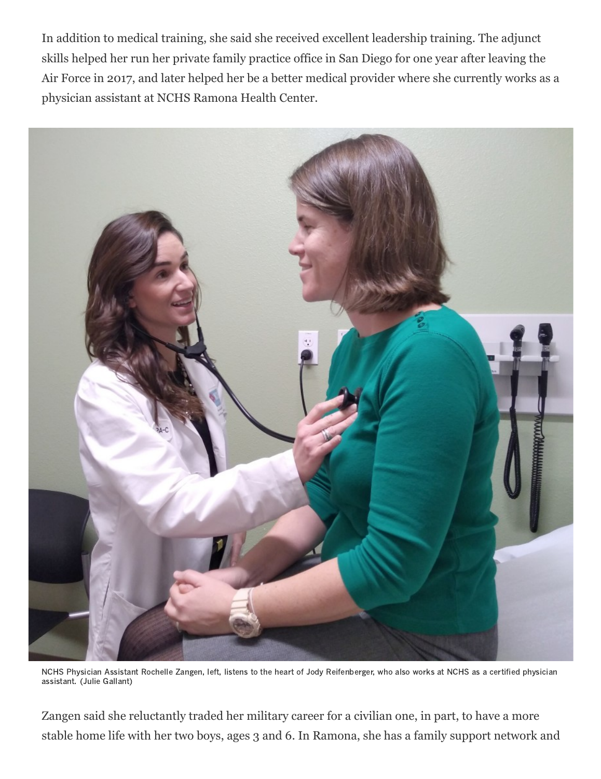In addition to medical training, she said she received excellent leadership training. The adjunct skills helped her run her private family practice office in San Diego for one year after leaving the Air Force in 2017, and later helped her be a better medical provider where she currently works as a physician assistant at NCHS Ramona Health Center.



NCHS Physician Assistant Rochelle Zangen, left, listens to the heart of Jody Reifenberger, who also works at NCHS as a certified physician assistant. (Julie Gallant)

Zangen said she reluctantly traded her military career for a civilian one, in part, to have a more stable home life with her two boys, ages 3 and 6. In Ramona, she has a family support network and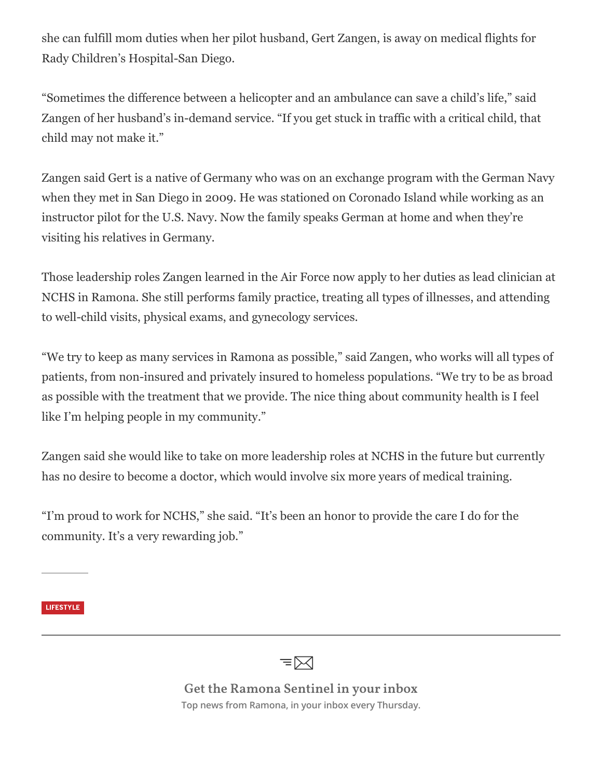she can fulfill mom duties when her pilot husband, Gert Zangen, is away on medical flights for Rady Children's Hospital-San Diego.

"Sometimes the difference between a helicopter and an ambulance can save a child's life," said Zangen of her husband's in-demand service. "If you get stuck in traffic with a critical child, that child may not make it."

Zangen said Gert is a native of Germany who was on an exchange program with the German Navy when they met in San Diego in 2009. He was stationed on Coronado Island while working as an instructor pilot for the U.S. Navy. Now the family speaks German at home and when they're visiting his relatives in Germany.

Those leadership roles Zangen learned in the Air Force now apply to her duties as lead clinician at NCHS in Ramona. She still performs family practice, treating all types of illnesses, and attending to well-child visits, physical exams, and gynecology services.

"We try to keep as many services in Ramona as possible," said Zangen, who works will all types of patients, from non-insured and privately insured to homeless populations. "We try to be as broad as possible with the treatment that we provide. The nice thing about community health is I feel like I'm helping people in my community."

Zangen said she would like to take on more leadership roles at NCHS in the future but currently has no desire to become a doctor, which would involve six more years of medical training.

"I'm proud to work for NCHS," she said. "It's been an honor to provide the care I do for the community. It's a very rewarding job."

[LIFESTYLE](https://www.sandiegouniontribune.com/ramona-sentinel/lifestyle)



**Get the Ramona Sentinel in your inbox Top news from Ramona, in your inbox every Thursday.**